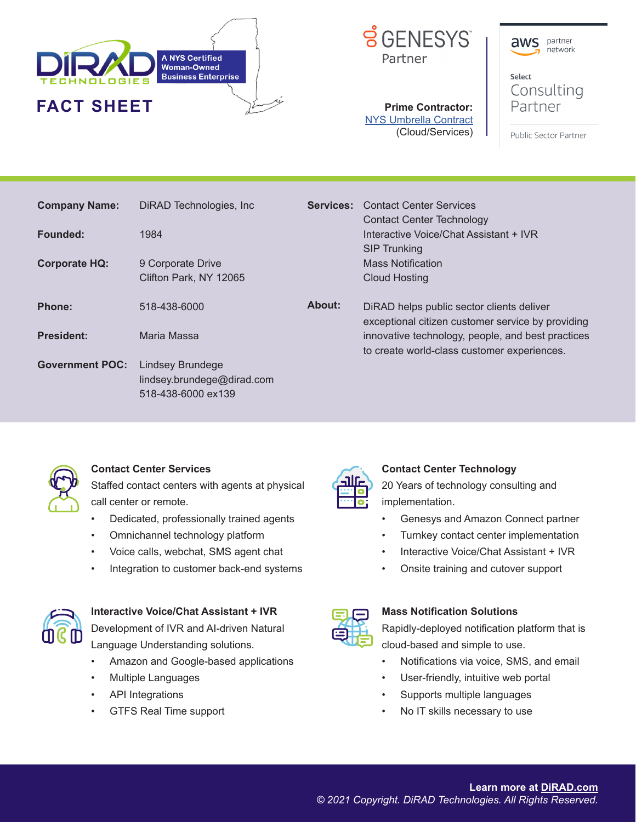





Select Consulting Partner

**Prime Contractor:** NYS Umbrella Contract (Cloud/Services)

Public Sector Partner

| <b>Company Name:</b>   | DiRAD Technologies, Inc.   | <b>Services:</b> | <b>Contact Center Services</b><br><b>Contact Center Technology</b>                               |
|------------------------|----------------------------|------------------|--------------------------------------------------------------------------------------------------|
| Founded:               | 1984                       |                  | Interactive Voice/Chat Assistant + IVR<br><b>SIP Trunking</b>                                    |
| <b>Corporate HQ:</b>   | 9 Corporate Drive          |                  | <b>Mass Notification</b>                                                                         |
|                        | Clifton Park, NY 12065     |                  | <b>Cloud Hosting</b>                                                                             |
| Phone:                 | 518-438-6000               | About:           | DiRAD helps public sector clients deliver<br>exceptional citizen customer service by providing   |
| <b>President:</b>      | Maria Massa                |                  | innovative technology, people, and best practices<br>to create world-class customer experiences. |
| <b>Government POC:</b> | Lindsey Brundege           |                  |                                                                                                  |
|                        | lindsey.brundege@dirad.com |                  |                                                                                                  |
|                        | 518-438-6000 ex139         |                  |                                                                                                  |



#### **Contact Center Services**

Staffed contact centers with agents at physical call center or remote.

- Dedicated, professionally trained agents
- Omnichannel technology platform
- Voice calls, webchat, SMS agent chat
- Integration to customer back-end systems



# **Interactive Voice/Chat Assistant + IVR**

Development of IVR and AI-driven Natural Language Understanding solutions.

- Amazon and Google-based applications
- Multiple Languages
- API Integrations
- GTFS Real Time support



### **Contact Center Technology**

20 Years of technology consulting and implementation.

- Genesys and Amazon Connect partner
- Turnkey contact center implementation
- Interactive Voice/Chat Assistant + IVR
- Onsite training and cutover support



### **Mass Notification Solutions**

Rapidly-deployed notification platform that is cloud-based and simple to use.

- Notifications via voice, SMS, and email
- User-friendly, intuitive web portal
- Supports multiple languages
- No IT skills necessary to use